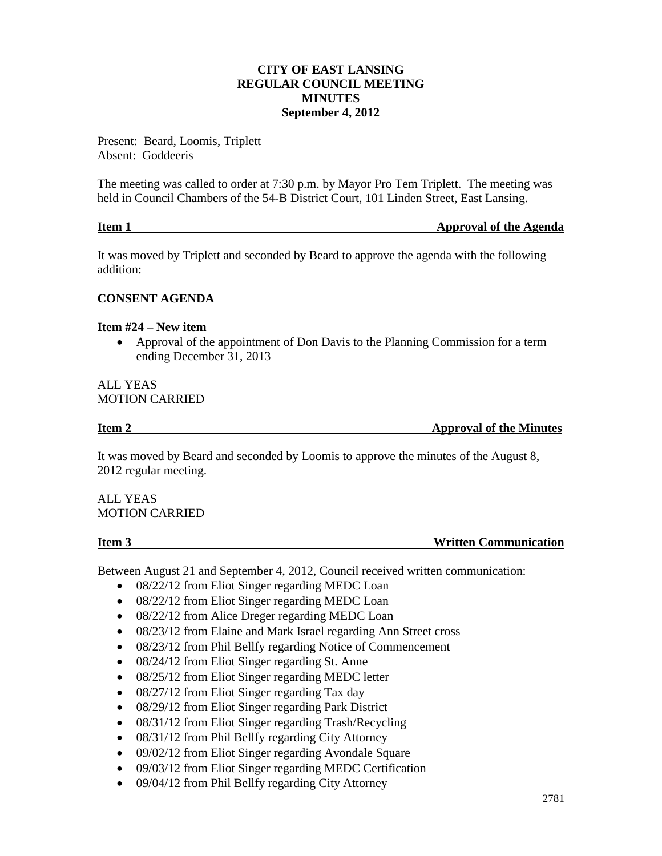# **CITY OF EAST LANSING REGULAR COUNCIL MEETING MINUTES September 4, 2012**

Present: Beard, Loomis, Triplett Absent: Goddeeris

The meeting was called to order at 7:30 p.m. by Mayor Pro Tem Triplett. The meeting was held in Council Chambers of the 54-B District Court, 101 Linden Street, East Lansing.

| Item 1 | <b>Approval of the Agenda</b> |
|--------|-------------------------------|
|        |                               |

It was moved by Triplett and seconded by Beard to approve the agenda with the following addition:

# **CONSENT AGENDA**

### **Item #24 – New item**

 Approval of the appointment of Don Davis to the Planning Commission for a term ending December 31, 2013

### ALL YEAS MOTION CARRIED

**Item 2** Approval of the Minutes

It was moved by Beard and seconded by Loomis to approve the minutes of the August 8, 2012 regular meeting.

ALL YEAS MOTION CARRIED

### **Item 3** Written Communication

Between August 21 and September 4, 2012, Council received written communication:

- 08/22/12 from Eliot Singer regarding MEDC Loan
- 08/22/12 from Eliot Singer regarding MEDC Loan
- 08/22/12 from Alice Dreger regarding MEDC Loan
- 08/23/12 from Elaine and Mark Israel regarding Ann Street cross
- 08/23/12 from Phil Bellfy regarding Notice of Commencement
- 08/24/12 from Eliot Singer regarding St. Anne
- 08/25/12 from Eliot Singer regarding MEDC letter
- 08/27/12 from Eliot Singer regarding Tax day
- 08/29/12 from Eliot Singer regarding Park District
- 08/31/12 from Eliot Singer regarding Trash/Recycling
- 08/31/12 from Phil Bellfy regarding City Attorney
- 09/02/12 from Eliot Singer regarding Avondale Square
- 09/03/12 from Eliot Singer regarding MEDC Certification
- 09/04/12 from Phil Bellfy regarding City Attorney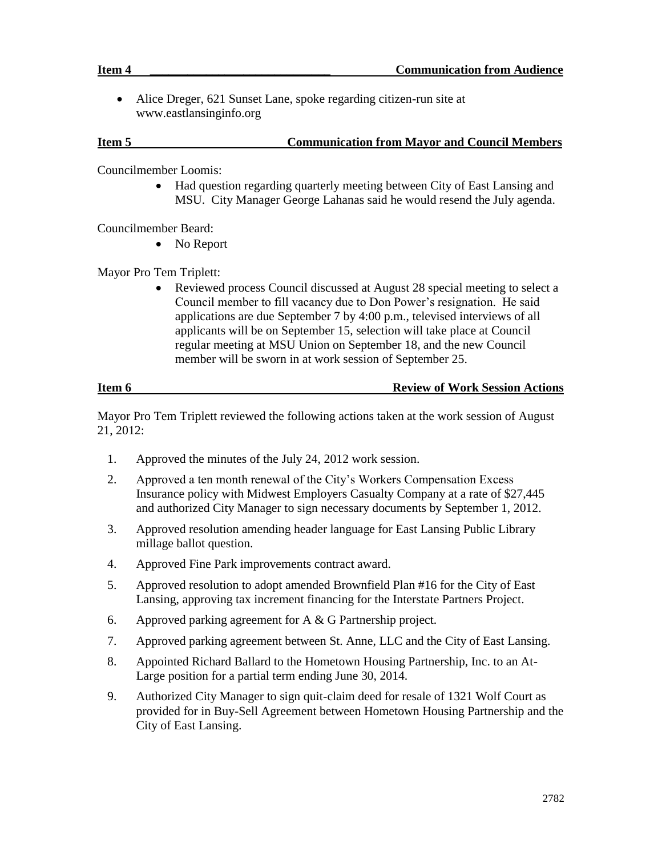Alice Dreger, 621 Sunset Lane, spoke regarding citizen-run site at www.eastlansinginfo.org

# **Item 5 Communication from Mayor and Council Members**

Councilmember Loomis:

• Had question regarding quarterly meeting between City of East Lansing and MSU. City Manager George Lahanas said he would resend the July agenda.

Councilmember Beard:

• No Report

Mayor Pro Tem Triplett:

 Reviewed process Council discussed at August 28 special meeting to select a Council member to fill vacancy due to Don Power's resignation. He said applications are due September 7 by 4:00 p.m., televised interviews of all applicants will be on September 15, selection will take place at Council regular meeting at MSU Union on September 18, and the new Council member will be sworn in at work session of September 25.

| Item 6 | <b>Review of Work Session Actions</b> |  |
|--------|---------------------------------------|--|
|        |                                       |  |

Mayor Pro Tem Triplett reviewed the following actions taken at the work session of August 21, 2012:

- 1. Approved the minutes of the July 24, 2012 work session.
- 2. Approved a ten month renewal of the City's Workers Compensation Excess Insurance policy with Midwest Employers Casualty Company at a rate of \$27,445 and authorized City Manager to sign necessary documents by September 1, 2012.
- 3. Approved resolution amending header language for East Lansing Public Library millage ballot question.
- 4. Approved Fine Park improvements contract award.
- 5. Approved resolution to adopt amended Brownfield Plan #16 for the City of East Lansing, approving tax increment financing for the Interstate Partners Project.
- 6. Approved parking agreement for A & G Partnership project.
- 7. Approved parking agreement between St. Anne, LLC and the City of East Lansing.
- 8. Appointed Richard Ballard to the Hometown Housing Partnership, Inc. to an At-Large position for a partial term ending June 30, 2014.
- 9. Authorized City Manager to sign quit-claim deed for resale of 1321 Wolf Court as provided for in Buy-Sell Agreement between Hometown Housing Partnership and the City of East Lansing.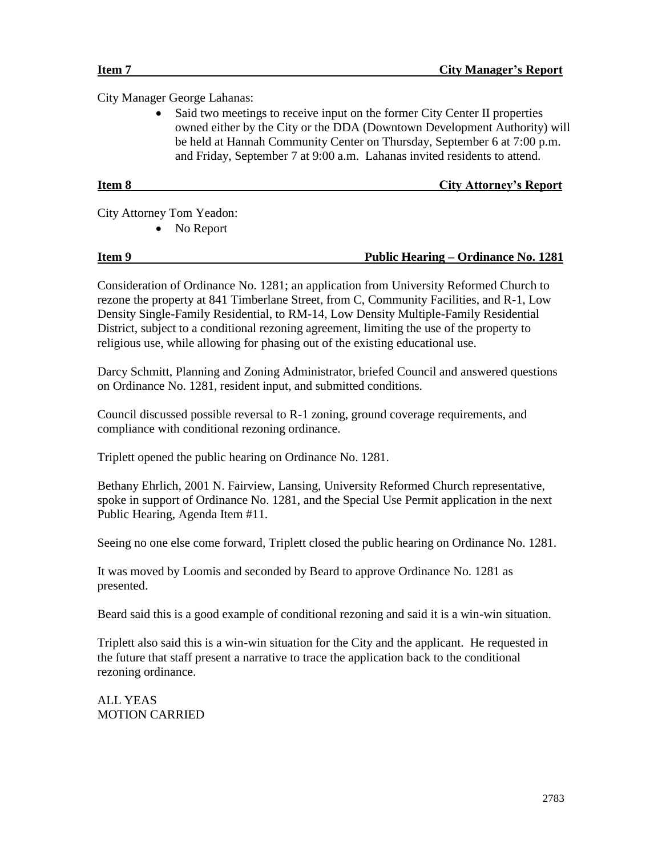City Manager George Lahanas:

• Said two meetings to receive input on the former City Center II properties owned either by the City or the DDA (Downtown Development Authority) will be held at Hannah Community Center on Thursday, September 6 at 7:00 p.m. and Friday, September 7 at 9:00 a.m. Lahanas invited residents to attend.

# **Item 8 City Attorney's Report**

City Attorney Tom Yeadon:

• No Report

# **Item 9 Public Hearing – Ordinance No. 1281**

Consideration of Ordinance No. 1281; an application from University Reformed Church to rezone the property at 841 Timberlane Street, from C, Community Facilities, and R-1, Low Density Single-Family Residential, to RM-14, Low Density Multiple-Family Residential District, subject to a conditional rezoning agreement, limiting the use of the property to religious use, while allowing for phasing out of the existing educational use.

Darcy Schmitt, Planning and Zoning Administrator, briefed Council and answered questions on Ordinance No. 1281, resident input, and submitted conditions.

Council discussed possible reversal to R-1 zoning, ground coverage requirements, and compliance with conditional rezoning ordinance.

Triplett opened the public hearing on Ordinance No. 1281.

Bethany Ehrlich, 2001 N. Fairview, Lansing, University Reformed Church representative, spoke in support of Ordinance No. 1281, and the Special Use Permit application in the next Public Hearing, Agenda Item #11.

Seeing no one else come forward, Triplett closed the public hearing on Ordinance No. 1281.

It was moved by Loomis and seconded by Beard to approve Ordinance No. 1281 as presented.

Beard said this is a good example of conditional rezoning and said it is a win-win situation.

Triplett also said this is a win-win situation for the City and the applicant. He requested in the future that staff present a narrative to trace the application back to the conditional rezoning ordinance.

ALL YEAS MOTION CARRIED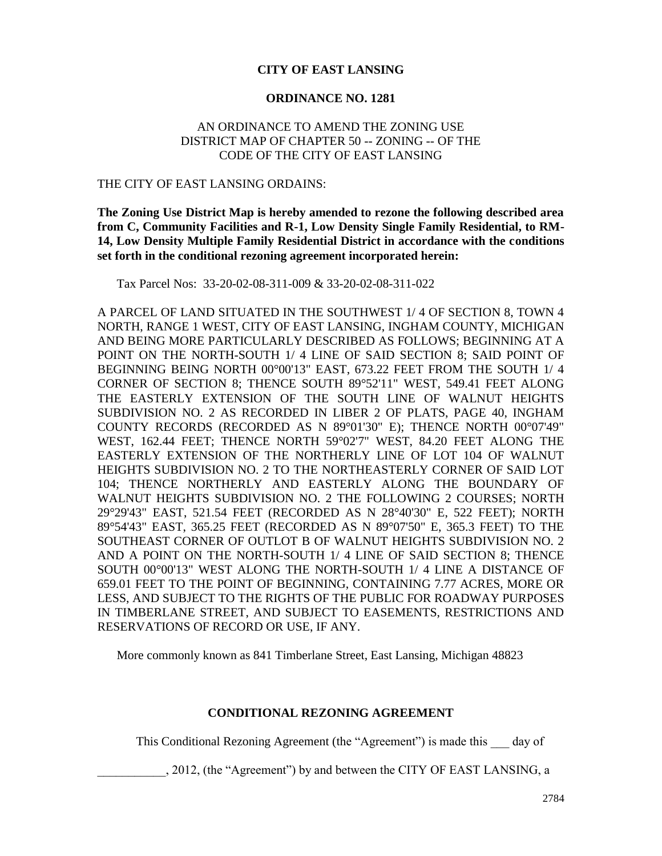# **CITY OF EAST LANSING**

# **ORDINANCE NO. 1281**

# AN ORDINANCE TO AMEND THE ZONING USE DISTRICT MAP OF CHAPTER 50 -- ZONING -- OF THE CODE OF THE CITY OF EAST LANSING

### THE CITY OF EAST LANSING ORDAINS:

**The Zoning Use District Map is hereby amended to rezone the following described area from C, Community Facilities and R-1, Low Density Single Family Residential, to RM-14, Low Density Multiple Family Residential District in accordance with the conditions set forth in the conditional rezoning agreement incorporated herein:**

Tax Parcel Nos: 33-20-02-08-311-009 & 33-20-02-08-311-022

A PARCEL OF LAND SITUATED IN THE SOUTHWEST 1/ 4 OF SECTION 8, TOWN 4 NORTH, RANGE 1 WEST, CITY OF EAST LANSING, INGHAM COUNTY, MICHIGAN AND BEING MORE PARTICULARLY DESCRIBED AS FOLLOWS; BEGINNING AT A POINT ON THE NORTH-SOUTH 1/ 4 LINE OF SAID SECTION 8; SAID POINT OF BEGINNING BEING NORTH 00°00'13" EAST, 673.22 FEET FROM THE SOUTH 1/ 4 CORNER OF SECTION 8; THENCE SOUTH 89°52'11" WEST, 549.41 FEET ALONG THE EASTERLY EXTENSION OF THE SOUTH LINE OF WALNUT HEIGHTS SUBDIVISION NO. 2 AS RECORDED IN LIBER 2 OF PLATS, PAGE 40, INGHAM COUNTY RECORDS (RECORDED AS N 89°01'30" E); THENCE NORTH 00°07'49" WEST, 162.44 FEET; THENCE NORTH 59°02'7" WEST, 84.20 FEET ALONG THE EASTERLY EXTENSION OF THE NORTHERLY LINE OF LOT 104 OF WALNUT HEIGHTS SUBDIVISION NO. 2 TO THE NORTHEASTERLY CORNER OF SAID LOT 104; THENCE NORTHERLY AND EASTERLY ALONG THE BOUNDARY OF WALNUT HEIGHTS SUBDIVISION NO. 2 THE FOLLOWING 2 COURSES; NORTH 29°29'43" EAST, 521.54 FEET (RECORDED AS N 28°40'30" E, 522 FEET); NORTH 89°54'43" EAST, 365.25 FEET (RECORDED AS N 89°07'50" E, 365.3 FEET) TO THE SOUTHEAST CORNER OF OUTLOT B OF WALNUT HEIGHTS SUBDIVISION NO. 2 AND A POINT ON THE NORTH-SOUTH 1/ 4 LINE OF SAID SECTION 8; THENCE SOUTH 00°00'13" WEST ALONG THE NORTH-SOUTH 1/ 4 LINE A DISTANCE OF 659.01 FEET TO THE POINT OF BEGINNING, CONTAINING 7.77 ACRES, MORE OR LESS, AND SUBJECT TO THE RIGHTS OF THE PUBLIC FOR ROADWAY PURPOSES IN TIMBERLANE STREET, AND SUBJECT TO EASEMENTS, RESTRICTIONS AND RESERVATIONS OF RECORD OR USE, IF ANY.

More commonly known as 841 Timberlane Street, East Lansing, Michigan 48823

# **CONDITIONAL REZONING AGREEMENT**

This Conditional Rezoning Agreement (the "Agreement") is made this day of

\_\_\_\_\_\_\_\_\_\_\_, 2012, (the "Agreement") by and between the CITY OF EAST LANSING, a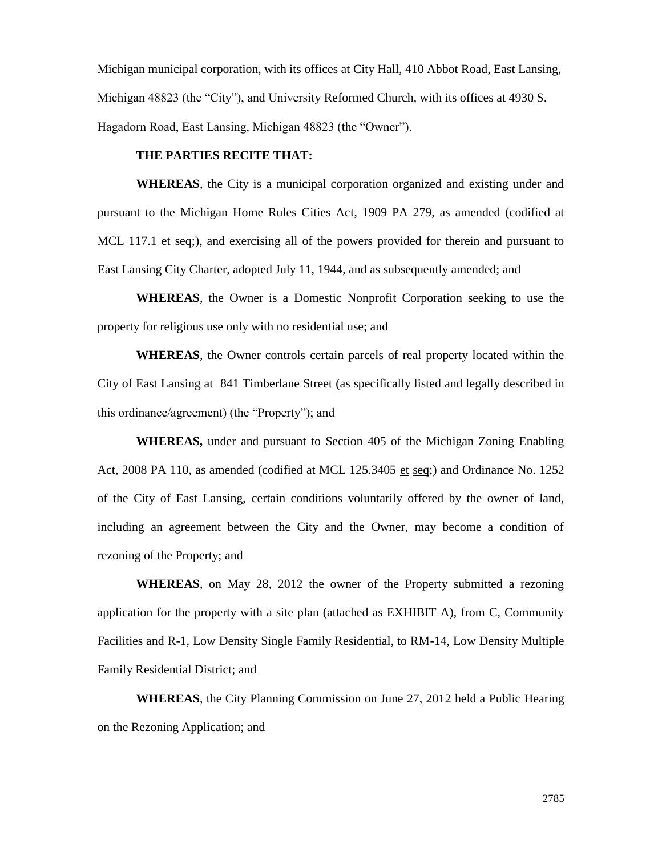Michigan municipal corporation, with its offices at City Hall, 410 Abbot Road, East Lansing, Michigan 48823 (the "City"), and University Reformed Church, with its offices at 4930 S. Hagadorn Road, East Lansing, Michigan 48823 (the "Owner").

# **THE PARTIES RECITE THAT:**

**WHEREAS**, the City is a municipal corporation organized and existing under and pursuant to the Michigan Home Rules Cities Act, 1909 PA 279, as amended (codified at MCL 117.1 et seq;), and exercising all of the powers provided for therein and pursuant to East Lansing City Charter, adopted July 11, 1944, and as subsequently amended; and

**WHEREAS**, the Owner is a Domestic Nonprofit Corporation seeking to use the property for religious use only with no residential use; and

**WHEREAS**, the Owner controls certain parcels of real property located within the City of East Lansing at 841 Timberlane Street (as specifically listed and legally described in this ordinance/agreement) (the "Property"); and

**WHEREAS,** under and pursuant to Section 405 of the Michigan Zoning Enabling Act, 2008 PA 110, as amended (codified at MCL 125.3405 et seq;) and Ordinance No. 1252 of the City of East Lansing, certain conditions voluntarily offered by the owner of land, including an agreement between the City and the Owner, may become a condition of rezoning of the Property; and

**WHEREAS**, on May 28, 2012 the owner of the Property submitted a rezoning application for the property with a site plan (attached as EXHIBIT A), from C, Community Facilities and R-1, Low Density Single Family Residential, to RM-14, Low Density Multiple Family Residential District; and

**WHEREAS**, the City Planning Commission on June 27, 2012 held a Public Hearing on the Rezoning Application; and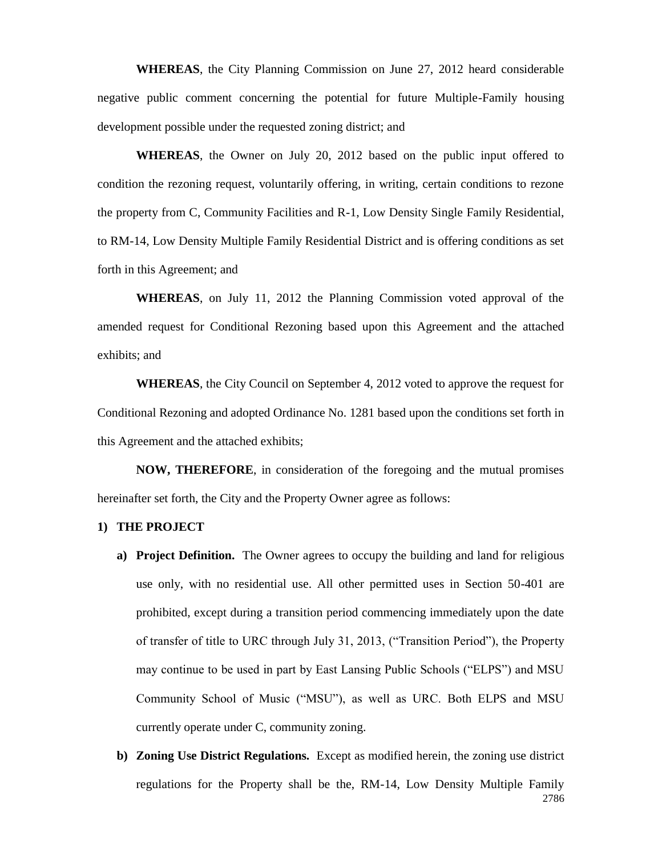**WHEREAS**, the City Planning Commission on June 27, 2012 heard considerable negative public comment concerning the potential for future Multiple-Family housing development possible under the requested zoning district; and

**WHEREAS**, the Owner on July 20, 2012 based on the public input offered to condition the rezoning request, voluntarily offering, in writing, certain conditions to rezone the property from C, Community Facilities and R-1, Low Density Single Family Residential, to RM-14, Low Density Multiple Family Residential District and is offering conditions as set forth in this Agreement; and

**WHEREAS**, on July 11, 2012 the Planning Commission voted approval of the amended request for Conditional Rezoning based upon this Agreement and the attached exhibits; and

**WHEREAS**, the City Council on September 4, 2012 voted to approve the request for Conditional Rezoning and adopted Ordinance No. 1281 based upon the conditions set forth in this Agreement and the attached exhibits;

**NOW, THEREFORE**, in consideration of the foregoing and the mutual promises hereinafter set forth, the City and the Property Owner agree as follows:

#### **1) THE PROJECT**

- **a) Project Definition.** The Owner agrees to occupy the building and land for religious use only, with no residential use. All other permitted uses in Section 50-401 are prohibited, except during a transition period commencing immediately upon the date of transfer of title to URC through July 31, 2013, ("Transition Period"), the Property may continue to be used in part by East Lansing Public Schools ("ELPS") and MSU Community School of Music ("MSU"), as well as URC. Both ELPS and MSU currently operate under C, community zoning.
- 2786 **b) Zoning Use District Regulations.** Except as modified herein, the zoning use district regulations for the Property shall be the, RM-14, Low Density Multiple Family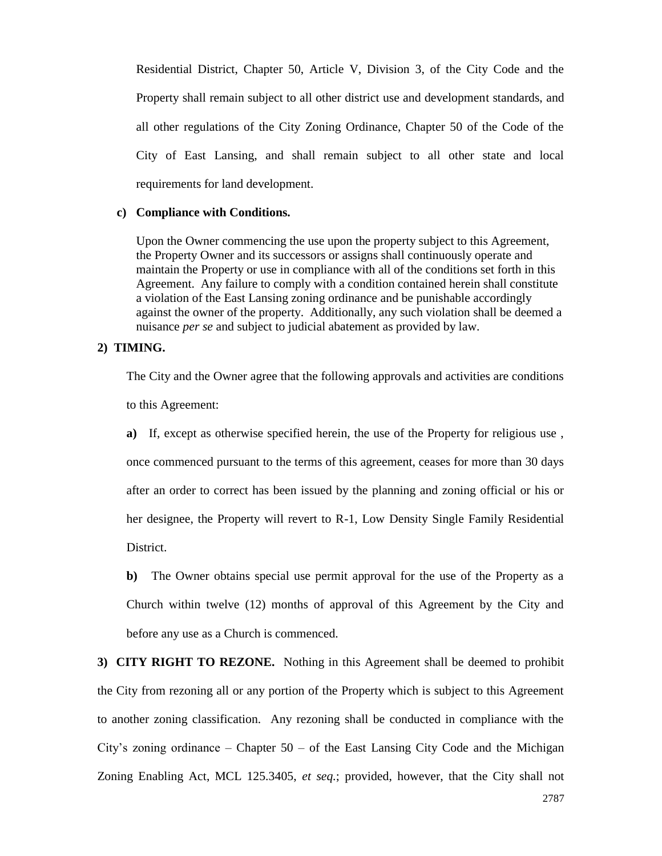Residential District, Chapter 50, Article V, Division 3, of the City Code and the Property shall remain subject to all other district use and development standards, and all other regulations of the City Zoning Ordinance, Chapter 50 of the Code of the City of East Lansing, and shall remain subject to all other state and local requirements for land development.

#### **c) Compliance with Conditions.**

Upon the Owner commencing the use upon the property subject to this Agreement, the Property Owner and its successors or assigns shall continuously operate and maintain the Property or use in compliance with all of the conditions set forth in this Agreement. Any failure to comply with a condition contained herein shall constitute a violation of the East Lansing zoning ordinance and be punishable accordingly against the owner of the property. Additionally, any such violation shall be deemed a nuisance *per se* and subject to judicial abatement as provided by law.

### **2) TIMING.**

The City and the Owner agree that the following approvals and activities are conditions to this Agreement:

**a)** If, except as otherwise specified herein, the use of the Property for religious use , once commenced pursuant to the terms of this agreement, ceases for more than 30 days after an order to correct has been issued by the planning and zoning official or his or her designee, the Property will revert to R-1, Low Density Single Family Residential District.

**b)** The Owner obtains special use permit approval for the use of the Property as a Church within twelve (12) months of approval of this Agreement by the City and before any use as a Church is commenced.

**3) CITY RIGHT TO REZONE.** Nothing in this Agreement shall be deemed to prohibit the City from rezoning all or any portion of the Property which is subject to this Agreement to another zoning classification. Any rezoning shall be conducted in compliance with the City's zoning ordinance – Chapter  $50 - of$  the East Lansing City Code and the Michigan Zoning Enabling Act, MCL 125.3405, *et seq.*; provided, however, that the City shall not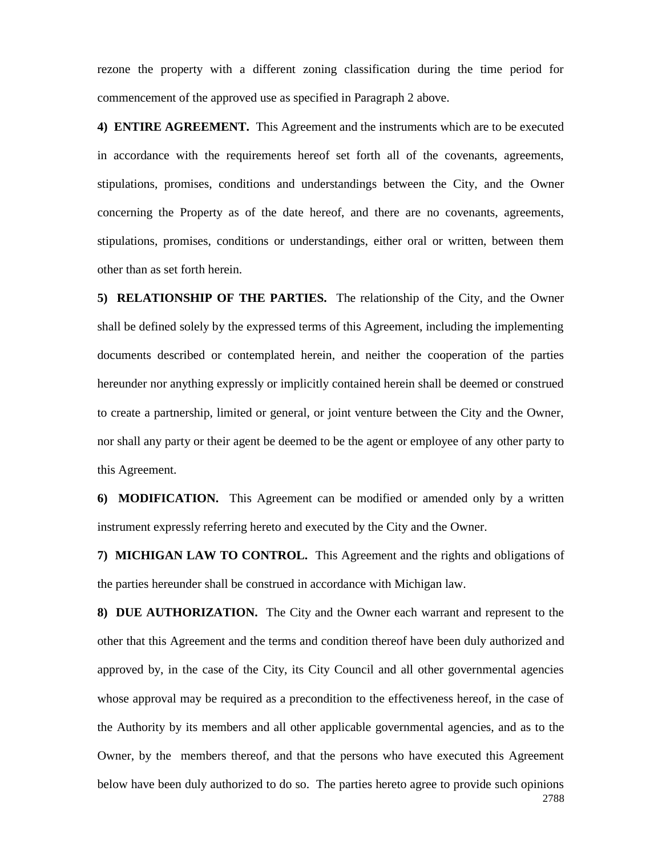rezone the property with a different zoning classification during the time period for commencement of the approved use as specified in Paragraph 2 above.

**4) ENTIRE AGREEMENT.** This Agreement and the instruments which are to be executed in accordance with the requirements hereof set forth all of the covenants, agreements, stipulations, promises, conditions and understandings between the City, and the Owner concerning the Property as of the date hereof, and there are no covenants, agreements, stipulations, promises, conditions or understandings, either oral or written, between them other than as set forth herein.

**5) RELATIONSHIP OF THE PARTIES.** The relationship of the City, and the Owner shall be defined solely by the expressed terms of this Agreement, including the implementing documents described or contemplated herein, and neither the cooperation of the parties hereunder nor anything expressly or implicitly contained herein shall be deemed or construed to create a partnership, limited or general, or joint venture between the City and the Owner, nor shall any party or their agent be deemed to be the agent or employee of any other party to this Agreement.

**6) MODIFICATION.** This Agreement can be modified or amended only by a written instrument expressly referring hereto and executed by the City and the Owner.

**7) MICHIGAN LAW TO CONTROL.** This Agreement and the rights and obligations of the parties hereunder shall be construed in accordance with Michigan law.

2788 **8) DUE AUTHORIZATION.** The City and the Owner each warrant and represent to the other that this Agreement and the terms and condition thereof have been duly authorized and approved by, in the case of the City, its City Council and all other governmental agencies whose approval may be required as a precondition to the effectiveness hereof, in the case of the Authority by its members and all other applicable governmental agencies, and as to the Owner, by the members thereof, and that the persons who have executed this Agreement below have been duly authorized to do so. The parties hereto agree to provide such opinions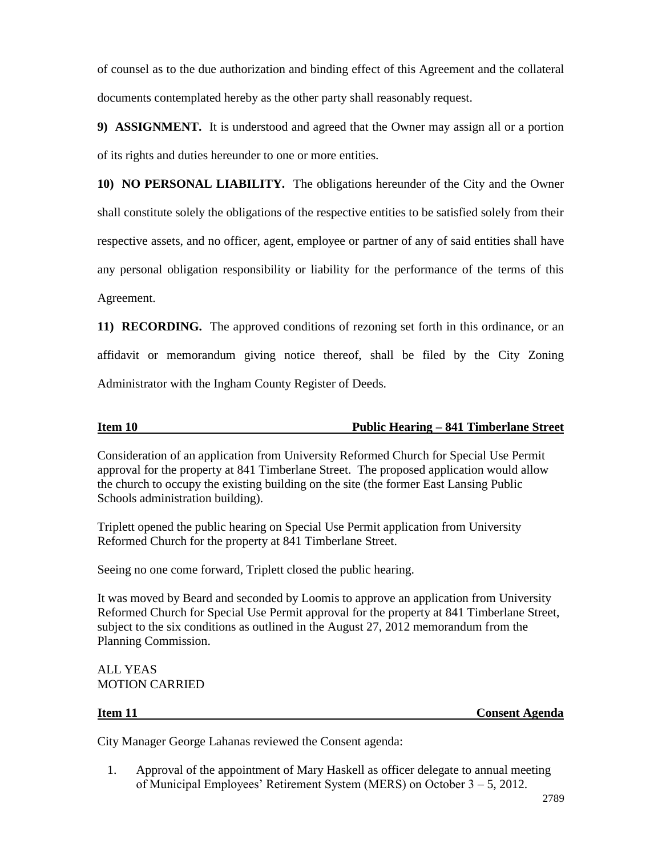of counsel as to the due authorization and binding effect of this Agreement and the collateral documents contemplated hereby as the other party shall reasonably request.

**9) ASSIGNMENT.** It is understood and agreed that the Owner may assign all or a portion of its rights and duties hereunder to one or more entities.

**10) NO PERSONAL LIABILITY.** The obligations hereunder of the City and the Owner shall constitute solely the obligations of the respective entities to be satisfied solely from their respective assets, and no officer, agent, employee or partner of any of said entities shall have any personal obligation responsibility or liability for the performance of the terms of this Agreement.

**11) RECORDING.** The approved conditions of rezoning set forth in this ordinance, or an affidavit or memorandum giving notice thereof, shall be filed by the City Zoning Administrator with the Ingham County Register of Deeds.

# **Item 10 Public Hearing – 841 Timberlane Street**

Consideration of an application from University Reformed Church for Special Use Permit approval for the property at 841 Timberlane Street. The proposed application would allow the church to occupy the existing building on the site (the former East Lansing Public Schools administration building).

Triplett opened the public hearing on Special Use Permit application from University Reformed Church for the property at 841 Timberlane Street.

Seeing no one come forward, Triplett closed the public hearing.

It was moved by Beard and seconded by Loomis to approve an application from University Reformed Church for Special Use Permit approval for the property at 841 Timberlane Street, subject to the six conditions as outlined in the August 27, 2012 memorandum from the Planning Commission.

ALL YEAS MOTION CARRIED

**Item 11 Consent Agenda**

City Manager George Lahanas reviewed the Consent agenda:

1. Approval of the appointment of Mary Haskell as officer delegate to annual meeting of Municipal Employees' Retirement System (MERS) on October 3 – 5, 2012.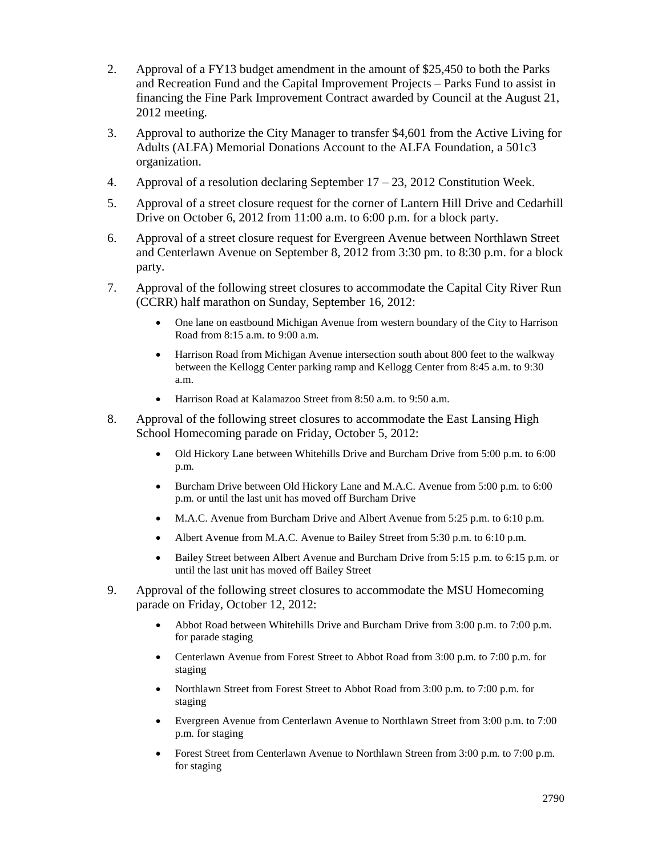- 2. Approval of a FY13 budget amendment in the amount of \$25,450 to both the Parks and Recreation Fund and the Capital Improvement Projects – Parks Fund to assist in financing the Fine Park Improvement Contract awarded by Council at the August 21, 2012 meeting.
- 3. Approval to authorize the City Manager to transfer \$4,601 from the Active Living for Adults (ALFA) Memorial Donations Account to the ALFA Foundation, a 501c3 organization.
- 4. Approval of a resolution declaring September  $17 23$ , 2012 Constitution Week.
- 5. Approval of a street closure request for the corner of Lantern Hill Drive and Cedarhill Drive on October 6, 2012 from 11:00 a.m. to 6:00 p.m. for a block party.
- 6. Approval of a street closure request for Evergreen Avenue between Northlawn Street and Centerlawn Avenue on September 8, 2012 from 3:30 pm. to 8:30 p.m. for a block party.
- 7. Approval of the following street closures to accommodate the Capital City River Run (CCRR) half marathon on Sunday, September 16, 2012:
	- One lane on eastbound Michigan Avenue from western boundary of the City to Harrison Road from 8:15 a.m. to 9:00 a.m.
	- Harrison Road from Michigan Avenue intersection south about 800 feet to the walkway between the Kellogg Center parking ramp and Kellogg Center from 8:45 a.m. to 9:30 a.m.
	- Harrison Road at Kalamazoo Street from 8:50 a.m. to 9:50 a.m.
- 8. Approval of the following street closures to accommodate the East Lansing High School Homecoming parade on Friday, October 5, 2012:
	- Old Hickory Lane between Whitehills Drive and Burcham Drive from 5:00 p.m. to 6:00 p.m.
	- Burcham Drive between Old Hickory Lane and M.A.C. Avenue from 5:00 p.m. to 6:00 p.m. or until the last unit has moved off Burcham Drive
	- M.A.C. Avenue from Burcham Drive and Albert Avenue from 5:25 p.m. to 6:10 p.m.
	- Albert Avenue from M.A.C. Avenue to Bailey Street from 5:30 p.m. to 6:10 p.m.
	- Bailey Street between Albert Avenue and Burcham Drive from 5:15 p.m. to 6:15 p.m. or until the last unit has moved off Bailey Street
- 9. Approval of the following street closures to accommodate the MSU Homecoming parade on Friday, October 12, 2012:
	- Abbot Road between Whitehills Drive and Burcham Drive from 3:00 p.m. to 7:00 p.m. for parade staging
	- Centerlawn Avenue from Forest Street to Abbot Road from 3:00 p.m. to 7:00 p.m. for staging
	- Northlawn Street from Forest Street to Abbot Road from 3:00 p.m. to 7:00 p.m. for staging
	- Evergreen Avenue from Centerlawn Avenue to Northlawn Street from 3:00 p.m. to 7:00 p.m. for staging
	- Forest Street from Centerlawn Avenue to Northlawn Streen from 3:00 p.m. to 7:00 p.m. for staging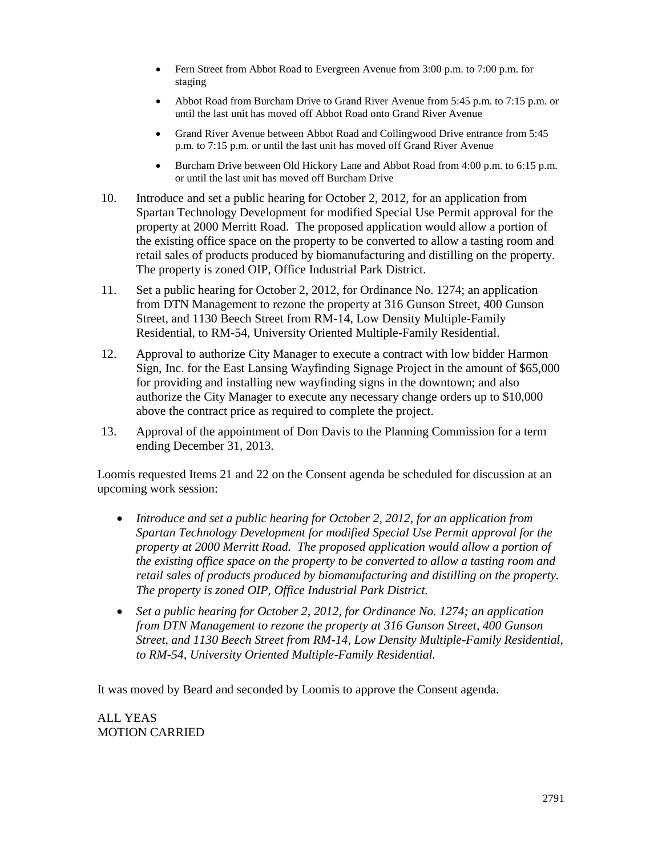- Fern Street from Abbot Road to Evergreen Avenue from 3:00 p.m. to 7:00 p.m. for staging
- Abbot Road from Burcham Drive to Grand River Avenue from 5:45 p.m. to 7:15 p.m. or until the last unit has moved off Abbot Road onto Grand River Avenue
- Grand River Avenue between Abbot Road and Collingwood Drive entrance from 5:45 p.m. to 7:15 p.m. or until the last unit has moved off Grand River Avenue
- Burcham Drive between Old Hickory Lane and Abbot Road from 4:00 p.m. to 6:15 p.m. or until the last unit has moved off Burcham Drive
- 10. Introduce and set a public hearing for October 2, 2012, for an application from Spartan Technology Development for modified Special Use Permit approval for the property at 2000 Merritt Road. The proposed application would allow a portion of the existing office space on the property to be converted to allow a tasting room and retail sales of products produced by biomanufacturing and distilling on the property. The property is zoned OIP, Office Industrial Park District.
- 11. Set a public hearing for October 2, 2012, for Ordinance No. 1274; an application from DTN Management to rezone the property at 316 Gunson Street, 400 Gunson Street, and 1130 Beech Street from RM-14, Low Density Multiple-Family Residential, to RM-54, University Oriented Multiple-Family Residential.
- 12. Approval to authorize City Manager to execute a contract with low bidder Harmon Sign, Inc. for the East Lansing Wayfinding Signage Project in the amount of \$65,000 for providing and installing new wayfinding signs in the downtown; and also authorize the City Manager to execute any necessary change orders up to \$10,000 above the contract price as required to complete the project.
- 13. Approval of the appointment of Don Davis to the Planning Commission for a term ending December 31, 2013.

Loomis requested Items 21 and 22 on the Consent agenda be scheduled for discussion at an upcoming work session:

- *Introduce and set a public hearing for October 2, 2012, for an application from Spartan Technology Development for modified Special Use Permit approval for the property at 2000 Merritt Road. The proposed application would allow a portion of the existing office space on the property to be converted to allow a tasting room and retail sales of products produced by biomanufacturing and distilling on the property. The property is zoned OIP, Office Industrial Park District.*
- *Set a public hearing for October 2, 2012, for Ordinance No. 1274; an application from DTN Management to rezone the property at 316 Gunson Street, 400 Gunson Street, and 1130 Beech Street from RM-14, Low Density Multiple-Family Residential, to RM-54, University Oriented Multiple-Family Residential.*

It was moved by Beard and seconded by Loomis to approve the Consent agenda.

ALL YEAS MOTION CARRIED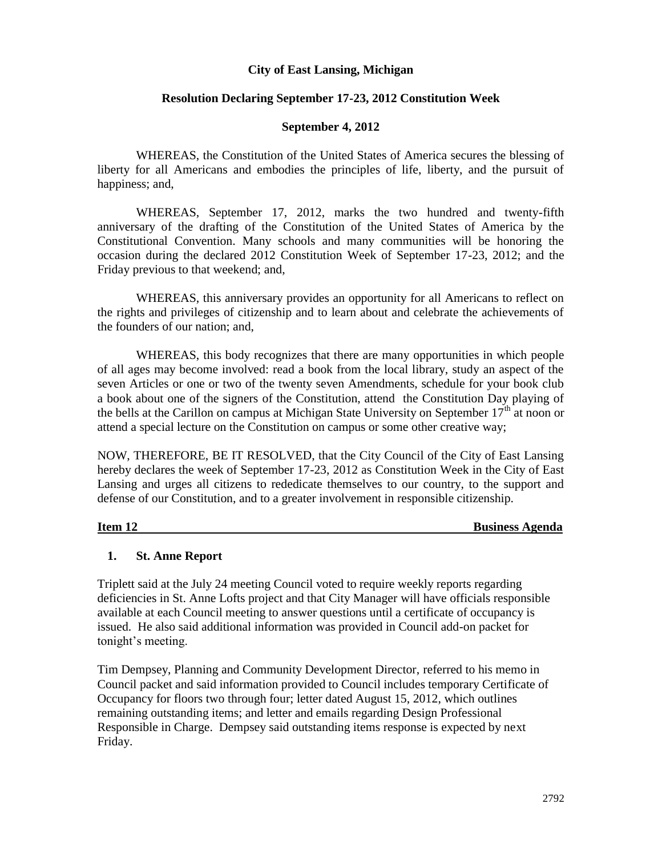### **City of East Lansing, Michigan**

### **Resolution Declaring September 17-23, 2012 Constitution Week**

#### **September 4, 2012**

WHEREAS, the Constitution of the United States of America secures the blessing of liberty for all Americans and embodies the principles of life, liberty, and the pursuit of happiness; and,

WHEREAS, September 17, 2012, marks the two hundred and twenty-fifth anniversary of the drafting of the Constitution of the United States of America by the Constitutional Convention. Many schools and many communities will be honoring the occasion during the declared 2012 Constitution Week of September 17-23, 2012; and the Friday previous to that weekend; and,

WHEREAS, this anniversary provides an opportunity for all Americans to reflect on the rights and privileges of citizenship and to learn about and celebrate the achievements of the founders of our nation; and,

WHEREAS, this body recognizes that there are many opportunities in which people of all ages may become involved: read a book from the local library, study an aspect of the seven Articles or one or two of the twenty seven Amendments, schedule for your book club a book about one of the signers of the Constitution, attend the Constitution Day playing of the bells at the Carillon on campus at Michigan State University on September  $17<sup>th</sup>$  at noon or attend a special lecture on the Constitution on campus or some other creative way;

NOW, THEREFORE, BE IT RESOLVED, that the City Council of the City of East Lansing hereby declares the week of September 17-23, 2012 as Constitution Week in the City of East Lansing and urges all citizens to rededicate themselves to our country, to the support and defense of our Constitution, and to a greater involvement in responsible citizenship.

**Item 12** Business Agenda

### **1. St. Anne Report**

Triplett said at the July 24 meeting Council voted to require weekly reports regarding deficiencies in St. Anne Lofts project and that City Manager will have officials responsible available at each Council meeting to answer questions until a certificate of occupancy is issued. He also said additional information was provided in Council add-on packet for tonight's meeting.

Tim Dempsey, Planning and Community Development Director, referred to his memo in Council packet and said information provided to Council includes temporary Certificate of Occupancy for floors two through four; letter dated August 15, 2012, which outlines remaining outstanding items; and letter and emails regarding Design Professional Responsible in Charge. Dempsey said outstanding items response is expected by next Friday.